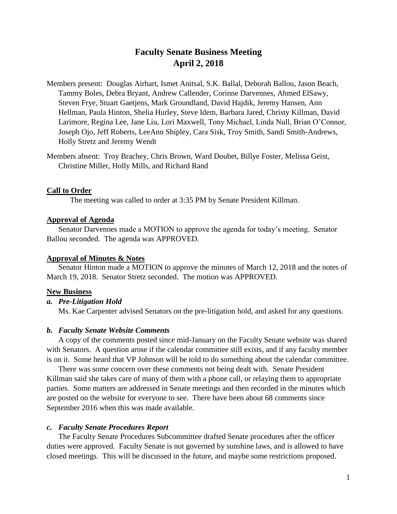# **Faculty Senate Business Meeting April 2, 2018**

Members present: Douglas Airhart, Ismet Anitsal, S.K. Ballal, Deborah Ballou, Jason Beach, Tammy Boles, Debra Bryant, Andrew Callender, Corinne Darvennes, Ahmed ElSawy, Steven Frye, Stuart Gaetjens, Mark Groundland, David Hajdik, Jeremy Hansen, Ann Hellman, Paula Hinton, Shelia Hurley, Steve Idem, Barbara Jared, Christy Killman, David Larimore, Regina Lee, Jane Liu, Lori Maxwell, Tony Michael, Linda Null, Brian O'Connor, Joseph Ojo, Jeff Roberts, LeeAnn Shipley, Cara Sisk, Troy Smith, Sandi Smith-Andrews, Holly Stretz and Jeremy Wendt

Members absent: Troy Brachey, Chris Brown, Ward Doubet, Billye Foster, Melissa Geist, Christine Miller, Holly Mills, and Richard Rand

# **Call to Order**

The meeting was called to order at 3:35 PM by Senate President Killman.

#### **Approval of Agenda**

Senator Darvennes made a MOTION to approve the agenda for today's meeting. Senator Ballou seconded. The agenda was APPROVED.

### **Approval of Minutes & Notes**

Senator Hinton made a MOTION to approve the minutes of March 12, 2018 and the notes of March 19, 2018. Senator Stretz seconded. The motion was APPROVED.

### **New Business**

### *a. Pre-Litigation Hold*

Ms. Kae Carpenter advised Senators on the pre-litigation hold, and asked for any questions.

#### *b. Faculty Senate Website Comments*

A copy of the comments posted since mid-January on the Faculty Senate website was shared with Senators. A question arose if the calendar committee still exists, and if any faculty member is on it. Some heard that VP Johnson will be told to do something about the calendar committee.

There was some concern over these comments not being dealt with. Senate President Killman said she takes care of many of them with a phone call, or relaying them to appropriate parties. Some matters are addressed in Senate meetings and then recorded in the minutes which are posted on the website for everyone to see. There have been about 68 comments since September 2016 when this was made available.

### *c. Faculty Senate Procedures Report*

The Faculty Senate Procedures Subcommittee drafted Senate procedures after the officer duties were approved. Faculty Senate is not governed by sunshine laws, and is allowed to have closed meetings. This will be discussed in the future, and maybe some restrictions proposed.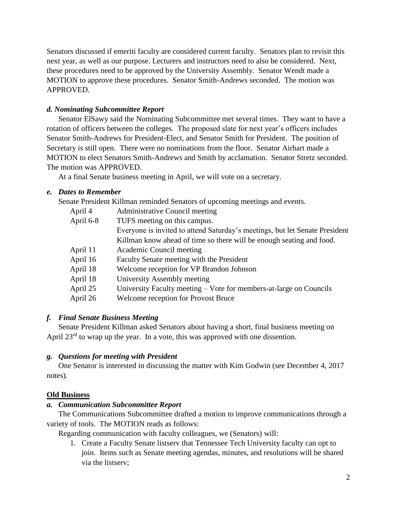Senators discussed if emeriti faculty are considered current faculty. Senators plan to revisit this next year, as well as our purpose. Lecturers and instructors need to also be considered. Next, these procedures need to be approved by the University Assembly. Senator Wendt made a MOTION to approve these procedures. Senator Smith-Andrews seconded. The motion was APPROVED.

# *d. Nominating Subcommittee Report*

Senator ElSawy said the Nominating Subcommittee met several times. They want to have a rotation of officers between the colleges. The proposed slate for next year's officers includes Senator Smith-Andrews for President-Elect, and Senator Smith for President. The position of Secretary is still open. There were no nominations from the floor. Senator Airhart made a MOTION to elect Senators Smith-Andrews and Smith by acclamation. Senator Stretz seconded. The motion was APPROVED.

At a final Senate business meeting in April, we will vote on a secretary.

# *e. Dates to Remember*

Senate President Killman reminded Senators of upcoming meetings and events.

| April 4   | <b>Administrative Council meeting</b>                                       |
|-----------|-----------------------------------------------------------------------------|
| April 6-8 | TUFS meeting on this campus.                                                |
|           | Everyone is invited to attend Saturday's meetings, but let Senate President |
|           | Killman know ahead of time so there will be enough seating and food.        |
| April 11  | Academic Council meeting                                                    |
| April 16  | Faculty Senate meeting with the President                                   |
| April 18  | Welcome reception for VP Brandon Johnson                                    |
| April 18  | University Assembly meeting                                                 |
| April 25  | University Faculty meeting – Vote for members-at-large on Councils          |
| April 26  | Welcome reception for Provost Bruce                                         |

# *f. Final Senate Business Meeting*

Senate President Killman asked Senators about having a short, final business meeting on April 23<sup>rd</sup> to wrap up the year. In a vote, this was approved with one dissention.

# *g. Questions for meeting with President*

One Senator is interested in discussing the matter with Kim Godwin (see December 4, 2017 notes).

# **Old Business**

# *a. Communication Subcommittee Report*

The Communications Subcommittee drafted a motion to improve communications through a variety of tools. The MOTION reads as follows:

Regarding communication with faculty colleagues, we (Senators) will:

1. Create a Faculty Senate listserv that Tennessee Tech University faculty can opt to join. Items such as Senate meeting agendas, minutes, and resolutions will be shared via the listserv;